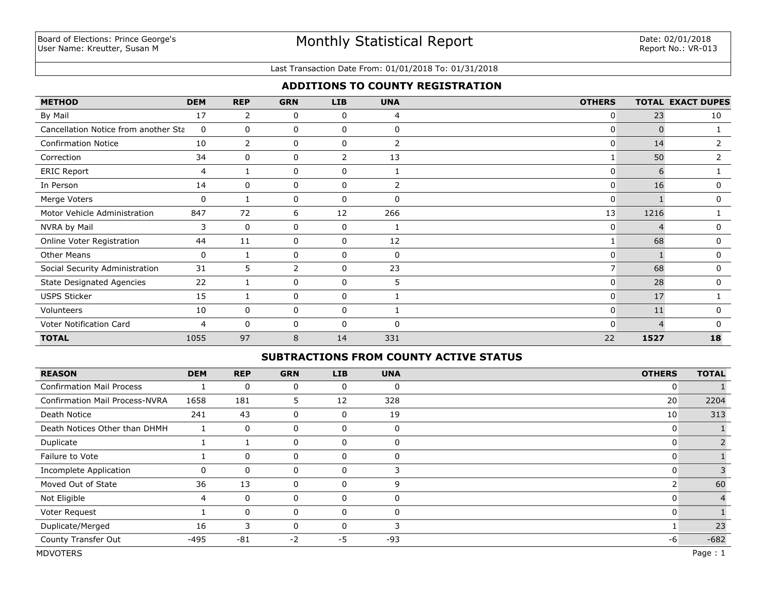#### Last Transaction Date From: 01/01/2018 To: 01/31/2018

## **ADDITIONS TO COUNTY REGISTRATION**

| <b>METHOD</b>                        | <b>DEM</b> | <b>REP</b>     | <b>GRN</b> | <b>LIB</b>     | <b>UNA</b> | <b>OTHERS</b>  |             | <b>TOTAL EXACT DUPES</b> |
|--------------------------------------|------------|----------------|------------|----------------|------------|----------------|-------------|--------------------------|
| By Mail                              | 17         | $\overline{2}$ | 0          | 0              | 4          | 0              | 23          | 10                       |
| Cancellation Notice from another Sta | 0          | 0              | 0          | 0              | $\Omega$   | 0              | $\mathbf 0$ |                          |
| <b>Confirmation Notice</b>           | 10         | $\overline{2}$ | 0          | 0              | 2          | $\mathbf{0}$   | 14          | 2                        |
| Correction                           | 34         | 0              | 0          | $\overline{2}$ | 13         |                | 50          | 2                        |
| <b>ERIC Report</b>                   | 4          |                | 0          | 0              |            | $\Omega$       | 6           |                          |
| In Person                            | 14         | 0              | 0          | $\mathbf 0$    | 2          | $\overline{0}$ | 16          | 0                        |
| Merge Voters                         | 0          |                | 0          | 0              | $\Omega$   | $\mathbf{0}$   |             | $\Omega$                 |
| Motor Vehicle Administration         | 847        | 72             | 6          | 12             | 266        | 13             | 1216        |                          |
| NVRA by Mail                         | 3          | 0              | 0          | 0              |            | $\mathbf{0}$   |             | 0                        |
| Online Voter Registration            | 44         | 11             | 0          | 0              | 12         |                | 68          | 0                        |
| <b>Other Means</b>                   | 0          |                | 0          | 0              | $\Omega$   | $\mathbf{0}$   |             | 0                        |
| Social Security Administration       | 31         | 5              | 2          | 0              | 23         | $\overline{7}$ | 68          | 0                        |
| <b>State Designated Agencies</b>     | 22         |                | 0          | $\mathbf 0$    | 5          | $\mathbf{0}$   | 28          | $\mathbf 0$              |
| <b>USPS Sticker</b>                  | 15         |                | 0          | 0              |            | $\overline{0}$ | 17          |                          |
| Volunteers                           | 10         | 0              | 0          | 0              |            | $\overline{0}$ | 11          | $\Omega$                 |
| Voter Notification Card              | 4          | $\Omega$       | 0          | 0              | $\Omega$   | $\Omega$       | 4           | $\Omega$                 |
| <b>TOTAL</b>                         | 1055       | 97             | 8          | 14             | 331        | 22             | 1527        | 18                       |

## **SUBTRACTIONS FROM COUNTY ACTIVE STATUS**

| <b>REASON</b>                         | <b>DEM</b> | <b>REP</b>  | <b>GRN</b> | <b>LIB</b> | <b>UNA</b>  | <b>OTHERS</b> | <b>TOTAL</b> |
|---------------------------------------|------------|-------------|------------|------------|-------------|---------------|--------------|
| <b>Confirmation Mail Process</b>      |            | $\mathbf 0$ | 0          | 0          | 0           | 0             |              |
| <b>Confirmation Mail Process-NVRA</b> | 1658       | 181         | 5.         | 12         | 328         | 20            | 2204         |
| Death Notice                          | 241        | 43          | 0          | 0          | 19          | 10            | 313          |
| Death Notices Other than DHMH         |            | $\mathbf 0$ | 0          | 0          | $\mathbf 0$ | 0             |              |
| Duplicate                             |            |             | 0          | 0          | 0           | 0             |              |
| Failure to Vote                       |            | $\mathbf 0$ | 0          | 0          | 0           | 0             |              |
| Incomplete Application                | 0          | 0           | 0          | 0          | 3           |               |              |
| Moved Out of State                    | 36         | 13          | 0          | 0          | 9           |               | 60           |
| Not Eligible                          | 4          | $\mathbf 0$ | 0          | 0          | $\Omega$    |               |              |
| Voter Request                         |            | $\mathbf 0$ | 0          | 0          | $\Omega$    | 0             |              |
| Duplicate/Merged                      | 16         | 3           | 0          | $\Omega$   | 3           |               | 23           |
| County Transfer Out                   | -495       | $-81$       | $-2$       | -5         | $-93$       | -6            | $-682$       |
| <b>MDVOTERS</b>                       |            |             |            |            |             |               | Page: 1      |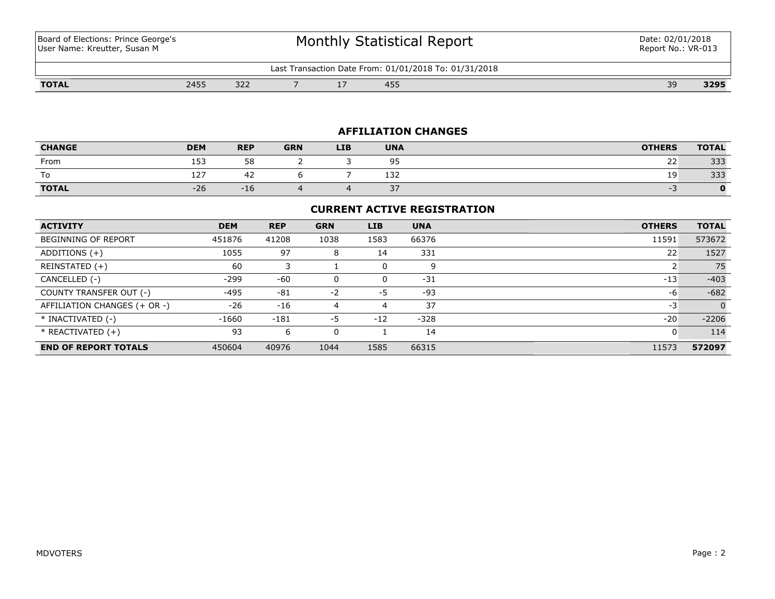Board of Elections: Prince George's User Name: Kreutter, Susan M

# Monthly Statistical Report

| 31/2018<br>/2018<br>$01/0$ <sup>-</sup><br>_ast<br>⊦rom<br>ansact<br>Date<br>. rion.<br>. 101 |     |                              |  |  |            |  |  |                    |     |  |
|-----------------------------------------------------------------------------------------------|-----|------------------------------|--|--|------------|--|--|--------------------|-----|--|
| יחד<br><b>IVIAL</b>                                                                           | 24E | $\sim$ $\sim$ $\sim$<br>ے کے |  |  | AET<br>45S |  |  | $\sim$<br><u>-</u> | אמר |  |

## **AFFILIATION CHANGES**

| <b>CHANGE</b> | <b>DEM</b>  | <b>REP</b> | <b>GRN</b> | <b>LIB</b> | <b>UNA</b>     | <b>OTHERS</b> | <b>TOTAL</b> |
|---------------|-------------|------------|------------|------------|----------------|---------------|--------------|
| From          | ィロつ<br>ᅩᇰ   | 58<br>JU   |            |            | QF<br><u>-</u> | $\sim$<br>∠∠  | 333          |
| -             | $-1$<br>ΤZ. | ⊶          |            |            | 132            |               | 333          |
| <b>TOTAL</b>  | $-26$       | $-10$      |            |            | $\sim$<br>، ب  |               |              |

## **CURRENT ACTIVE REGISTRATION**

| <b>ACTIVITY</b>              | <b>DEM</b> | <b>REP</b> | <b>GRN</b> | <b>LIB</b> | <b>UNA</b> | <b>OTHERS</b> | <b>TOTAL</b> |
|------------------------------|------------|------------|------------|------------|------------|---------------|--------------|
| BEGINNING OF REPORT          | 451876     | 41208      | 1038       | 1583       | 66376      | 11591         | 573672       |
| ADDITIONS $(+)$              | 1055       | 97         | 8          | 14         | 331        | 22            | 1527         |
| REINSTATED (+)               | 60         |            |            | 0          | 9          |               | 75           |
| CANCELLED (-)                | $-299$     | $-60$      | 0          | 0          | $-31$      | $-13$         | $-403$       |
| COUNTY TRANSFER OUT (-)      | $-495$     | $-81$      | $-2$       | -5         | -93        | -6            | $-682$       |
| AFFILIATION CHANGES (+ OR -) | $-26$      | $-16$      | 4          | 4          | 37         | -3            | $\Omega$     |
| * INACTIVATED (-)            | $-1660$    | $-181$     | -5         | $-12$      | $-328$     | $-20$         | $-2206$      |
| * REACTIVATED (+)            | 93         | 6          | 0          |            | 14         | 0             | 114          |
| <b>END OF REPORT TOTALS</b>  | 450604     | 40976      | 1044       | 1585       | 66315      | 11573         | 572097       |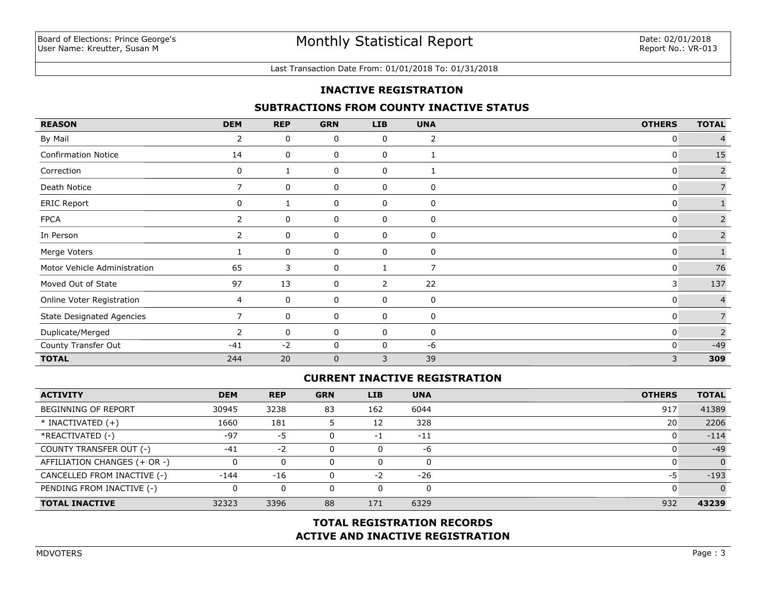#### Last Transaction Date From: 01/01/2018 To: 01/31/2018

## **INACTIVE REGISTRATION**

## **SUBTRACTIONS FROM COUNTY INACTIVE STATUS**

| <b>REASON</b>                    | <b>DEM</b>            | <b>REP</b> | <b>GRN</b>  | <b>LIB</b> | <b>UNA</b>     | <b>OTHERS</b> | <b>TOTAL</b>   |
|----------------------------------|-----------------------|------------|-------------|------------|----------------|---------------|----------------|
| By Mail                          | 2                     | 0          | 0           | 0          | 2              | 0             |                |
| <b>Confirmation Notice</b>       | 14                    | 0          | 0           | 0          |                | 0             | 15             |
| Correction                       | 0                     |            | 0           | 0          | 1              | 0             | $\overline{2}$ |
| Death Notice                     | $\overline{7}$        | 0          | 0           | 0          | $\mathbf 0$    | 0             | $\overline{7}$ |
| <b>ERIC Report</b>               | 0                     |            | 0           | 0          | 0              | 0             |                |
| <b>FPCA</b>                      | $\mathbf{2}^{\prime}$ | 0          | 0           | 0          | $\mathbf 0$    | 0             | $\overline{2}$ |
| In Person                        | $\overline{2}$        | 0          | 0           | 0          | 0              | 0             | $\overline{2}$ |
| Merge Voters                     |                       | 0          | 0           | 0          | 0              | 0             |                |
| Motor Vehicle Administration     | 65                    | 3          | $\mathbf 0$ |            | $\overline{7}$ | 0             | 76             |
| Moved Out of State               | 97                    | 13         | 0           | 2          | 22             | 3             | 137            |
| Online Voter Registration        | 4                     | 0          | 0           | 0          | $\mathbf 0$    | 0             | $\overline{4}$ |
| <b>State Designated Agencies</b> |                       | 0          | 0           | 0          | 0              | 0             |                |
| Duplicate/Merged                 | $\mathbf{2}^{\prime}$ | 0          | 0           | 0          | $\mathbf 0$    | 0             | $\overline{2}$ |
| County Transfer Out              | $-41$                 | $-2$       | 0           | 0          | -6             | $\mathbf{0}$  | $-49$          |
| <b>TOTAL</b>                     | 244                   | 20         | $\mathbf 0$ | 3          | 39             | 3             | 309            |

## **CURRENT INACTIVE REGISTRATION**

| <b>ACTIVITY</b>              | <b>DEM</b> | <b>REP</b> | <b>GRN</b> | <b>LIB</b> | <b>UNA</b> | <b>OTHERS</b> | <b>TOTAL</b>   |
|------------------------------|------------|------------|------------|------------|------------|---------------|----------------|
| <b>BEGINNING OF REPORT</b>   | 30945      | 3238       | 83         | 162        | 6044       | 917           | 41389          |
| $*$ INACTIVATED $(+)$        | 1660       | 181        |            | 12         | 328        | 20            | 2206           |
| *REACTIVATED (-)             | $-97$      | -5         |            | -1         | $-11$      |               | $-114$         |
| COUNTY TRANSFER OUT (-)      | $-41$      | $-2$       |            | 0          | -6         |               | $-49$          |
| AFFILIATION CHANGES (+ OR -) |            |            |            | 0          | 0          |               | $\overline{0}$ |
| CANCELLED FROM INACTIVE (-)  | $-144$     | $-16$      |            | $-2$       | $-26$      | -5            | $-193$         |
| PENDING FROM INACTIVE (-)    |            |            |            | 0          | 0          |               | $\Omega$       |
| <b>TOTAL INACTIVE</b>        | 32323      | 3396       | 88         | 171        | 6329       | 932           | 43239          |

## **ACTIVE AND INACTIVE REGISTRATION TOTAL REGISTRATION RECORDS**